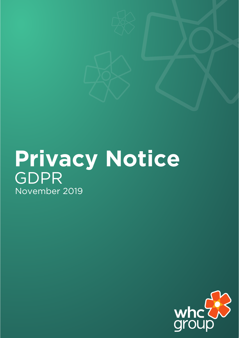# **Privacy Notice** GDPR November 2019

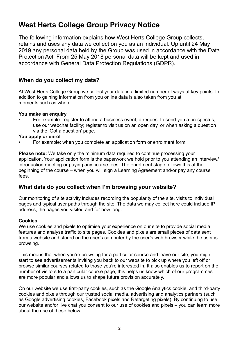# **West Herts College Group Privacy Notice**

The following information explains how West Herts College Group collects, retains and uses any data we collect on you as an individual. Up until 24 May 2019 any personal data held by the Group was used in accordance with the Data Protection Act. From 25 May 2018 personal data will be kept and used in accordance with General Data Protection Regulations (GDPR).

# **When do you collect my data?**

At West Herts College Group we collect your data in a limited number of ways at key points. In addition to gaining information from you online data is also taken from you at moments such as when:

#### **You make an enquiry**

• For example: register to attend a business event; a request to send you a prospectus; use our webchat facility; register to visit us on an open day, or when asking a question via the 'Got a question' page.

#### **You apply or enrol**

• For example: when you complete an application form or enrolment form.

**Please note:** We take only the minimum data required to continue processing your application. Your application form is the paperwork we hold prior to you attending an interview/ introduction meeting or paying any course fees. The enrolment stage follows this at the beginning of the course – when you will sign a Learning Agreement and/or pay any course fees.

### **What data do you collect when I'm browsing your website?**

Our monitoring of site activity includes recording the popularity of the site, visits to individual pages and typical user paths through the site. The data we may collect here could include IP address, the pages you visited and for how long.

#### **Cookies**

We use cookies and pixels to optimise your experience on our site to provide social media features and analyse traffic to site pages. Cookies and pixels are small pieces of data sent from a website and stored on the user's computer by the user's web browser while the user is browsing.

This means that when you're browsing for a particular course and leave our site, you might start to see advertisements inviting you back to our website to pick up where you left off or browse similar courses related to those you're interested in. It also enables us to report on the number of visitors to a particular course page, this helps us know which of our programmes are more popular and allows us to shape future provision accurately.

On our website we use first-party cookies, such as the Google Analytics cookie, and third-party cookies and pixels through our trusted social media, advertising and analytics partners (such as Google advertising cookies, Facebook pixels and Retargeting pixels). By continuing to use our website and/or live chat you consent to our use of cookies and pixels – you can learn more about the use of these below.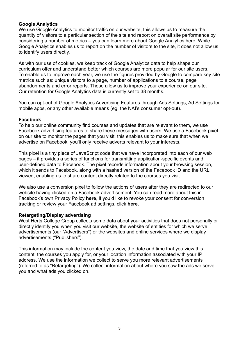#### **Google Analytics**

We use Google Analytics to monitor traffic on our website, this allows us to measure the quantity of visitors to a particular section of the site and report on overall site performance by considering a number of metrics – you can learn more about Google Analytics here. While Google Analytics enables us to report on the number of visitors to the site, it does not allow us to identify users directly.

As with our use of cookies, we keep track of Google Analytics data to help shape our curriculum offer and understand better which courses are more popular for our site users. To enable us to improve each year, we use the figures provided by Google to compare key site metrics such as: unique visitors to a page, number of applications to a course, page abandonments and error reports. These allow us to improve your experience on our site. Our retention for Google Analytics data is currently set to 38 months.

You can opt-out of Google Analytics Advertising Features through Ads Settings, Ad Settings for mobile apps, or any other available means (eg, the NAI's consumer opt-out).

#### **Facebook**

To help our online community find courses and updates that are relevant to them, we use Facebook advertising features to share these messages with users. We use a Facebook pixel on our site to monitor the pages that you visit, this enables us to make sure that when we advertise on Facebook, you'll only receive adverts relevant to your interests.

This pixel is a tiny piece of JavaScript code that we have incorporated into each of our web pages – it provides a series of functions for transmitting application-specific events and user-defined data to Facebook. The pixel records information about your browsing session, which it sends to Facebook, along with a hashed version of the Facebook ID and the URL viewed, enabling us to share content directly related to the courses you visit.

We also use a conversion pixel to follow the actions of users after they are redirected to our website having clicked on a Facebook advertisement. You can read more about this in Facebook's own Privacy Policy **here**, if you'd like to revoke your consent for conversion tracking or review your Facebook ad settings, click **here**.

#### **Retargeting/Display advertising**

West Herts College Group collects some data about your activities that does not personally or directly identify you when you visit our website, the website of entities for which we serve advertisements (our "Advertisers") or the websites and online services where we display advertisements ("Publishers").

This information may include the content you view, the date and time that you view this content, the courses you apply for, or your location information associated with your IP address. We use the information we collect to serve you more relevant advertisements (referred to as "Retargeting"). We collect information about where you saw the ads we serve you and what ads you clicked on.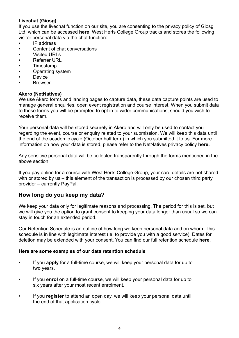#### **Livechat (Giosg)**

If you use the livechat function on our site, you are consenting to the privacy policy of Giosg Ltd, which can be accessed **here**. West Herts College Group tracks and stores the following visitor personal data via the chat function:

- IP address
- Content of chat conversations
- Visited URLs
- Referrer URL
- Timestamp
- Operating system
- **Device**
- **Browser**

#### **Akero (NetNatives)**

We use Akero forms and landing pages to capture data, these data capture points are used to manage general enquiries, open event registration and course interest. When you submit data to these forms you will be prompted to opt in to wider communications, should you wish to receive them.

Your personal data will be stored securely in Akero and will only be used to contact you regarding the event, course or enquiry related to your submission. We will keep this data until the end of the academic cycle (October half term) in which you submitted it to us. For more information on how your data is stored, please refer to the NetNatives privacy policy **here.**

Any sensitive personal data will be collected transparently through the forms mentioned in the above section.

If you pay online for a course with West Herts College Group, your card details are not shared with or stored by us – this element of the transaction is processed by our chosen third party provider – currently PayPal.

#### **How long do you keep my data?**

We keep your data only for legitimate reasons and processing. The period for this is set, but we will give you the option to grant consent to keeping your data longer than usual so we can stay in touch for an extended period.

Our Retention Schedule is an outline of how long we keep personal data and on whom. This schedule is in line with legitimate interest (ie, to provide you with a good service). Dates for deletion may be extended with your consent. You can find our full retention schedule **here**.

#### **Here are some examples of our data retention schedule**

- If you **apply** for a full-time course, we will keep your personal data for up to two years.
- If you **enrol** on a full-time course, we will keep your personal data for up to six years after your most recent enrolment.
- If you **register** to attend an open day, we will keep your personal data until the end of that application cycle.